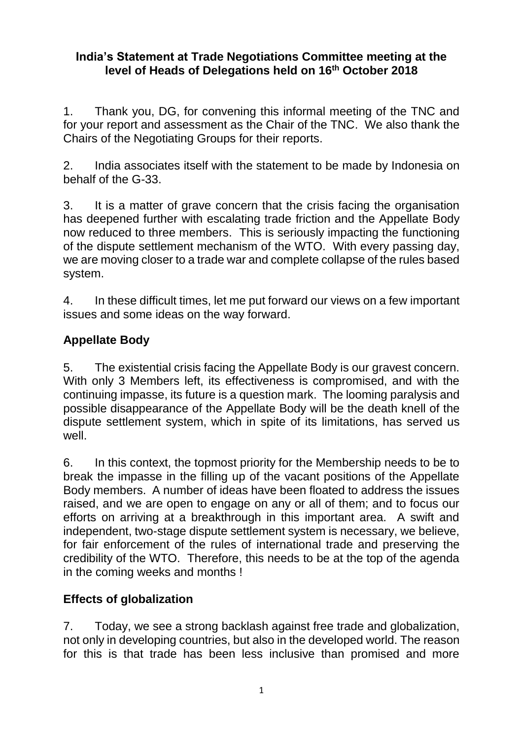#### **India's Statement at Trade Negotiations Committee meeting at the level of Heads of Delegations held on 16th October 2018**

1. Thank you, DG, for convening this informal meeting of the TNC and for your report and assessment as the Chair of the TNC. We also thank the Chairs of the Negotiating Groups for their reports.

2. India associates itself with the statement to be made by Indonesia on behalf of the G-33.

3. It is a matter of grave concern that the crisis facing the organisation has deepened further with escalating trade friction and the Appellate Body now reduced to three members. This is seriously impacting the functioning of the dispute settlement mechanism of the WTO. With every passing day, we are moving closer to a trade war and complete collapse of the rules based system.

4. In these difficult times, let me put forward our views on a few important issues and some ideas on the way forward.

## **Appellate Body**

5. The existential crisis facing the Appellate Body is our gravest concern. With only 3 Members left, its effectiveness is compromised, and with the continuing impasse, its future is a question mark. The looming paralysis and possible disappearance of the Appellate Body will be the death knell of the dispute settlement system, which in spite of its limitations, has served us well.

6. In this context, the topmost priority for the Membership needs to be to break the impasse in the filling up of the vacant positions of the Appellate Body members. A number of ideas have been floated to address the issues raised, and we are open to engage on any or all of them; and to focus our efforts on arriving at a breakthrough in this important area. A swift and independent, two-stage dispute settlement system is necessary, we believe, for fair enforcement of the rules of international trade and preserving the credibility of the WTO. Therefore, this needs to be at the top of the agenda in the coming weeks and months !

## **Effects of globalization**

7. Today, we see a strong backlash against free trade and globalization, not only in developing countries, but also in the developed world. The reason for this is that trade has been less inclusive than promised and more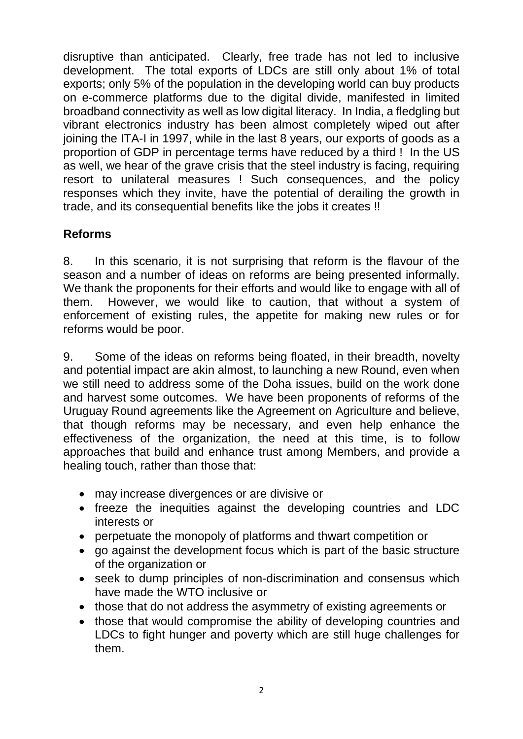disruptive than anticipated. Clearly, free trade has not led to inclusive development. The total exports of LDCs are still only about 1% of total exports; only 5% of the population in the developing world can buy products on e-commerce platforms due to the digital divide, manifested in limited broadband connectivity as well as low digital literacy. In India, a fledgling but vibrant electronics industry has been almost completely wiped out after joining the ITA-I in 1997, while in the last 8 years, our exports of goods as a proportion of GDP in percentage terms have reduced by a third ! In the US as well, we hear of the grave crisis that the steel industry is facing, requiring resort to unilateral measures ! Such consequences, and the policy responses which they invite, have the potential of derailing the growth in trade, and its consequential benefits like the jobs it creates !!

### **Reforms**

8. In this scenario, it is not surprising that reform is the flavour of the season and a number of ideas on reforms are being presented informally. We thank the proponents for their efforts and would like to engage with all of them. However, we would like to caution, that without a system of enforcement of existing rules, the appetite for making new rules or for reforms would be poor.

9. Some of the ideas on reforms being floated, in their breadth, novelty and potential impact are akin almost, to launching a new Round, even when we still need to address some of the Doha issues, build on the work done and harvest some outcomes. We have been proponents of reforms of the Uruguay Round agreements like the Agreement on Agriculture and believe, that though reforms may be necessary, and even help enhance the effectiveness of the organization, the need at this time, is to follow approaches that build and enhance trust among Members, and provide a healing touch, rather than those that:

- may increase divergences or are divisive or
- freeze the inequities against the developing countries and LDC interests or
- perpetuate the monopoly of platforms and thwart competition or
- go against the development focus which is part of the basic structure of the organization or
- seek to dump principles of non-discrimination and consensus which have made the WTO inclusive or
- those that do not address the asymmetry of existing agreements or
- those that would compromise the ability of developing countries and LDCs to fight hunger and poverty which are still huge challenges for them.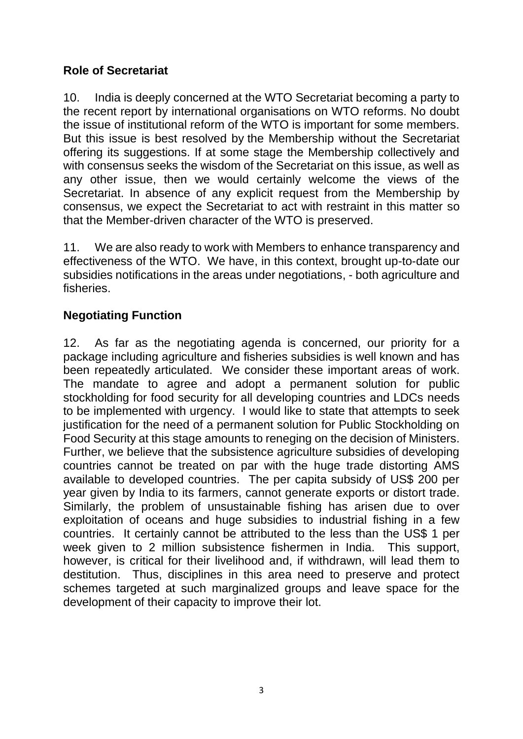### **Role of Secretariat**

10. India is deeply concerned at the WTO Secretariat becoming a party to the recent report by international organisations on WTO reforms. No doubt the issue of institutional reform of the WTO is important for some members. But this issue is best resolved by the Membership without the Secretariat offering its suggestions. If at some stage the Membership collectively and with consensus seeks the wisdom of the Secretariat on this issue, as well as any other issue, then we would certainly welcome the views of the Secretariat. In absence of any explicit request from the Membership by consensus, we expect the Secretariat to act with restraint in this matter so that the Member-driven character of the WTO is preserved.

11. We are also ready to work with Members to enhance transparency and effectiveness of the WTO. We have, in this context, brought up-to-date our subsidies notifications in the areas under negotiations, - both agriculture and fisheries.

## **Negotiating Function**

12. As far as the negotiating agenda is concerned, our priority for a package including agriculture and fisheries subsidies is well known and has been repeatedly articulated. We consider these important areas of work. The mandate to agree and adopt a permanent solution for public stockholding for food security for all developing countries and LDCs needs to be implemented with urgency. I would like to state that attempts to seek justification for the need of a permanent solution for Public Stockholding on Food Security at this stage amounts to reneging on the decision of Ministers. Further, we believe that the subsistence agriculture subsidies of developing countries cannot be treated on par with the huge trade distorting AMS available to developed countries. The per capita subsidy of US\$ 200 per year given by India to its farmers, cannot generate exports or distort trade. Similarly, the problem of unsustainable fishing has arisen due to over exploitation of oceans and huge subsidies to industrial fishing in a few countries. It certainly cannot be attributed to the less than the US\$ 1 per week given to 2 million subsistence fishermen in India. This support, however, is critical for their livelihood and, if withdrawn, will lead them to destitution. Thus, disciplines in this area need to preserve and protect schemes targeted at such marginalized groups and leave space for the development of their capacity to improve their lot.